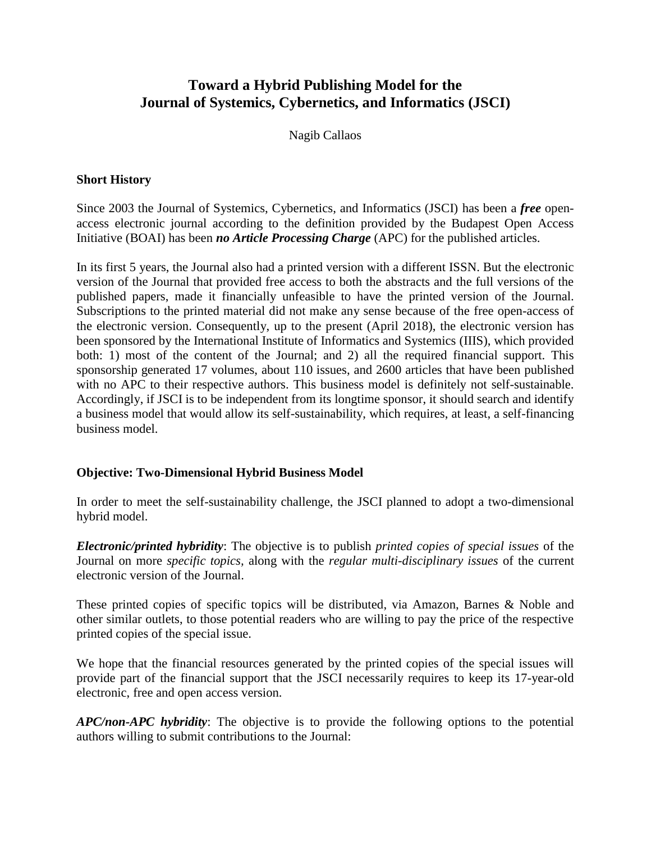# **Toward a Hybrid Publishing Model for the Journal of Systemics, Cybernetics, and Informatics (JSCI)**

Nagib Callaos

### **Short History**

Since 2003 the Journal of Systemics, Cybernetics, and Informatics (JSCI) has been a *free* openaccess electronic journal according to the definition provided by the Budapest Open Access Initiative (BOAI) has been *no Article Processing Charge* (APC) for the published articles.

In its first 5 years, the Journal also had a printed version with a different ISSN. But the electronic version of the Journal that provided free access to both the abstracts and the full versions of the published papers, made it financially unfeasible to have the printed version of the Journal. Subscriptions to the printed material did not make any sense because of the free open-access of the electronic version. Consequently, up to the present (April 2018), the electronic version has been sponsored by the International Institute of Informatics and Systemics (IIIS), which provided both: 1) most of the content of the Journal; and 2) all the required financial support. This sponsorship generated 17 volumes, about 110 issues, and 2600 articles that have been published with no APC to their respective authors. This business model is definitely not self-sustainable. Accordingly, if JSCI is to be independent from its longtime sponsor, it should search and identify a business model that would allow its self-sustainability, which requires, at least, a self-financing business model.

## **Objective: Two-Dimensional Hybrid Business Model**

In order to meet the self-sustainability challenge, the JSCI planned to adopt a two-dimensional hybrid model.

*Electronic/printed hybridity*: The objective is to publish *printed copies of special issues* of the Journal on more *specific topics,* along with the *regular multi-disciplinary issues* of the current electronic version of the Journal.

These printed copies of specific topics will be distributed, via Amazon, Barnes & Noble and other similar outlets, to those potential readers who are willing to pay the price of the respective printed copies of the special issue.

We hope that the financial resources generated by the printed copies of the special issues will provide part of the financial support that the JSCI necessarily requires to keep its 17-year-old electronic, free and open access version.

*APC/non-APC hybridity*: The objective is to provide the following options to the potential authors willing to submit contributions to the Journal: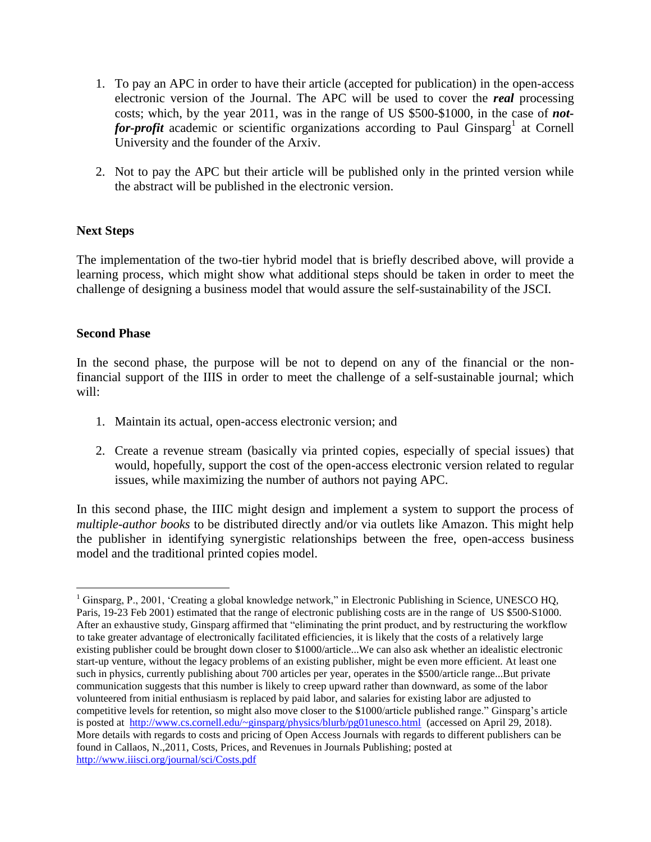- 1. To pay an APC in order to have their article (accepted for publication) in the open-access electronic version of the Journal. The APC will be used to cover the *real* processing costs; which, by the year 2011, was in the range of US \$500-\$1000, in the case of *not*for-profit academic or scientific organizations according to Paul Ginsparg<sup>1</sup> at Cornell University and the founder of the Arxiv.
- 2. Not to pay the APC but their article will be published only in the printed version while the abstract will be published in the electronic version.

#### **Next Steps**

The implementation of the two-tier hybrid model that is briefly described above, will provide a learning process, which might show what additional steps should be taken in order to meet the challenge of designing a business model that would assure the self-sustainability of the JSCI.

#### **Second Phase**

 $\overline{a}$ 

In the second phase, the purpose will be not to depend on any of the financial or the nonfinancial support of the IIIS in order to meet the challenge of a self-sustainable journal; which will:

- 1. Maintain its actual, open-access electronic version; and
- 2. Create a revenue stream (basically via printed copies, especially of special issues) that would, hopefully, support the cost of the open-access electronic version related to regular issues, while maximizing the number of authors not paying APC.

In this second phase, the IIIC might design and implement a system to support the process of *multiple-author books* to be distributed directly and/or via outlets like Amazon. This might help the publisher in identifying synergistic relationships between the free, open-access business model and the traditional printed copies model.

<sup>&</sup>lt;sup>1</sup> Ginsparg, P., 2001, 'Creating a global knowledge network," in Electronic Publishing in Science, UNESCO HO, Paris, 19-23 Feb 2001) estimated that the range of electronic publishing costs are in the range of US \$500-S1000. After an exhaustive study, Ginsparg affirmed that "eliminating the print product, and by restructuring the workflow to take greater advantage of electronically facilitated efficiencies, it is likely that the costs of a relatively large existing publisher could be brought down closer to \$1000/article...We can also ask whether an idealistic electronic start-up venture, without the legacy problems of an existing publisher, might be even more efficient. At least one such in physics, currently publishing about 700 articles per year, operates in the \$500/article range...But private communication suggests that this number is likely to creep upward rather than downward, as some of the labor volunteered from initial enthusiasm is replaced by paid labor, and salaries for existing labor are adjusted to competitive levels for retention, so might also move closer to the \$1000/article published range." Ginsparg's article is posted at <http://www.cs.cornell.edu/~ginsparg/physics/blurb/pg01unesco.html> (accessed on April 29, 2018). More details with regards to costs and pricing of Open Access Journals with regards to different publishers can be found in Callaos, N.,2011, Costs, Prices, and Revenues in Journals Publishing; posted at <http://www.iiisci.org/journal/sci/Costs.pdf>